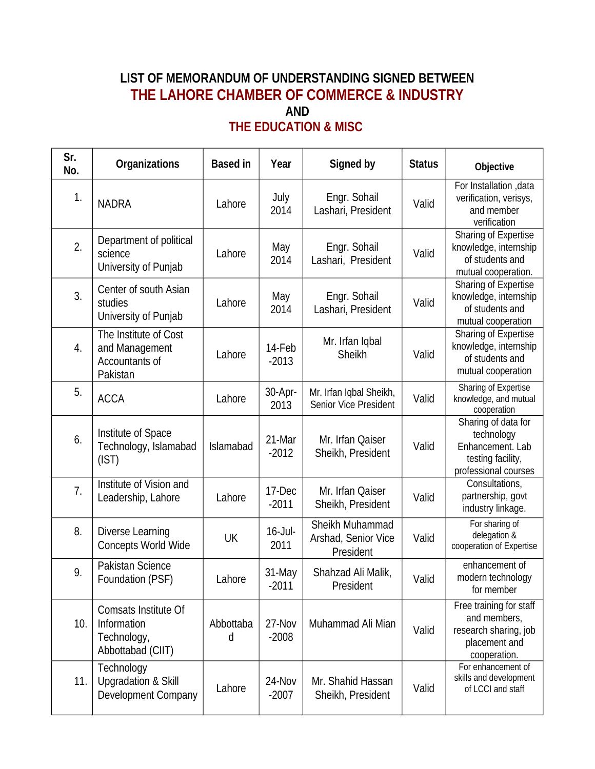## **LIST OF MEMORANDUM OF UNDERSTANDING SIGNED BETWEEN THE LAHORE CHAMBER OF COMMERCE & INDUSTRY AND THE EDUCATION & MISC**

| Sr.<br>No. | <b>Organizations</b>                                                           | <b>Based in</b> | Year               | Signed by                                           | <b>Status</b> | Objective                                                                                          |
|------------|--------------------------------------------------------------------------------|-----------------|--------------------|-----------------------------------------------------|---------------|----------------------------------------------------------------------------------------------------|
| 1.         | <b>NADRA</b>                                                                   | Lahore          | July<br>2014       | Engr. Sohail<br>Lashari, President                  | Valid         | For Installation , data<br>verification, verisys,<br>and member<br>verification                    |
| 2.         | Department of political<br>science<br>University of Punjab                     | Lahore          | May<br>2014        | Engr. Sohail<br>Lashari, President                  | Valid         | Sharing of Expertise<br>knowledge, internship<br>of students and<br>mutual cooperation.            |
| 3.         | Center of south Asian<br>studies<br>University of Punjab                       | Lahore          | May<br>2014        | Engr. Sohail<br>Lashari, President                  | Valid         | Sharing of Expertise<br>knowledge, internship<br>of students and<br>mutual cooperation             |
| 4.         | The Institute of Cost<br>and Management<br>Accountants of<br>Pakistan          | Lahore          | 14-Feb<br>$-2013$  | Mr. Irfan Iqbal<br>Sheikh                           | Valid         | Sharing of Expertise<br>knowledge, internship<br>of students and<br>mutual cooperation             |
| 5.         | <b>ACCA</b>                                                                    | Lahore          | 30-Apr-<br>2013    | Mr. Irfan Iqbal Sheikh,<br>Senior Vice President    | Valid         | Sharing of Expertise<br>knowledge, and mutual<br>cooperation                                       |
| 6.         | Institute of Space<br>Technology, Islamabad<br>(IST)                           | Islamabad       | 21-Mar<br>$-2012$  | Mr. Irfan Qaiser<br>Sheikh, President               | Valid         | Sharing of data for<br>technology<br>Enhancement. Lab<br>testing facility,<br>professional courses |
| 7.         | Institute of Vision and<br>Leadership, Lahore                                  | Lahore          | 17-Dec<br>$-2011$  | Mr. Irfan Qaiser<br>Sheikh, President               | Valid         | Consultations,<br>partnership, govt<br>industry linkage.                                           |
| 8.         | Diverse Learning<br>Concepts World Wide                                        | <b>UK</b>       | $16$ -Jul-<br>2011 | Sheikh Muhammad<br>Arshad, Senior Vice<br>President | Valid         | For sharing of<br>delegation &<br>cooperation of Expertise                                         |
| 9.         | Pakistan Science<br>Foundation (PSF)                                           | Lahore          | 31-May<br>$-2011$  | Shahzad Ali Malik,<br>President                     | Valid         | enhancement of<br>modern technology<br>for member                                                  |
| 10.        | <b>Comsats Institute Of</b><br>Information<br>Technology,<br>Abbottabad (CIIT) | Abbottaba<br>d  | 27-Nov<br>$-2008$  | Muhammad Ali Mian                                   | Valid         | Free training for staff<br>and members,<br>research sharing, job<br>placement and<br>cooperation.  |
| 11.        | Technology<br><b>Upgradation &amp; Skill</b><br>Development Company            | Lahore          | 24-Nov<br>$-2007$  | Mr. Shahid Hassan<br>Sheikh, President              | Valid         | For enhancement of<br>skills and development<br>of LCCI and staff                                  |